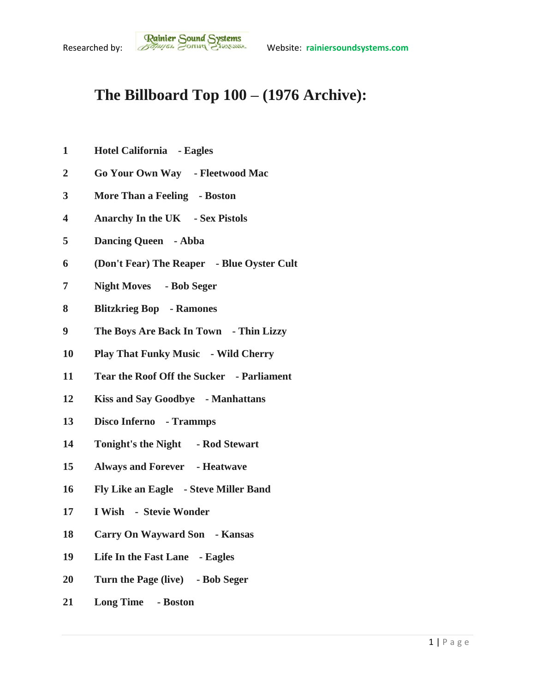## **The Billboard Top 100 – (1976 Archive):**

- **Hotel California - Eagles**
- **Go Your Own Way - Fleetwood Mac**
- **More Than a Feeling - Boston**
- **Anarchy In the UK - Sex Pistols**
- **Dancing Queen - Abba**
- **(Don't Fear) The Reaper - Blue Oyster Cult**
- **Night Moves - Bob Seger**
- **Blitzkrieg Bop - Ramones**
- **The Boys Are Back In Town - Thin Lizzy**
- **Play That Funky Music - Wild Cherry**
- **Tear the Roof Off the Sucker - Parliament**
- **Kiss and Say Goodbye - Manhattans**
- **Disco Inferno - Trammps**
- **Tonight's the Night - Rod Stewart**
- **Always and Forever - Heatwave**
- **Fly Like an Eagle - Steve Miller Band**
- **I Wish - Stevie Wonder**
- **Carry On Wayward Son - Kansas**
- **Life In the Fast Lane - Eagles**
- **Turn the Page (live) - Bob Seger**
- **Long Time - Boston**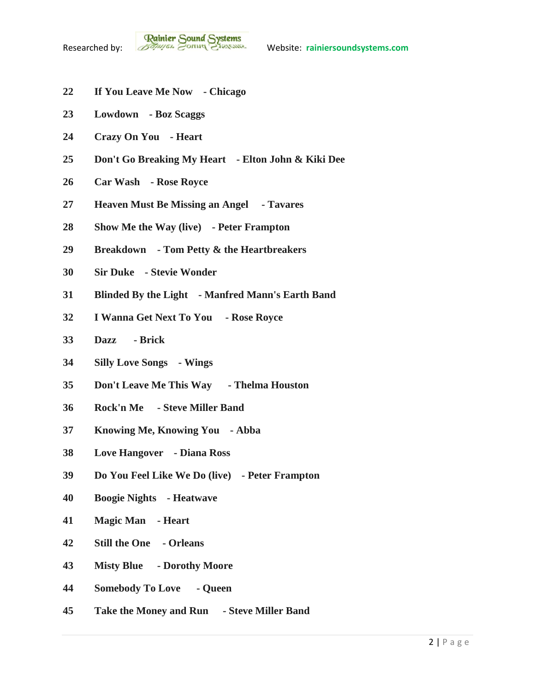- **If You Leave Me Now - Chicago**
- **Lowdown - Boz Scaggs**
- **Crazy On You - Heart**
- **Don't Go Breaking My Heart - Elton John & Kiki Dee**
- **Car Wash - Rose Royce**
- **Heaven Must Be Missing an Angel - Tavares**
- **Show Me the Way (live) - Peter Frampton**
- **Breakdown - Tom Petty & the Heartbreakers**
- **Sir Duke - Stevie Wonder**
- **Blinded By the Light - Manfred Mann's Earth Band**
- **I Wanna Get Next To You - Rose Royce**
- **Dazz - Brick**
- **Silly Love Songs - Wings**
- **Don't Leave Me This Way - Thelma Houston**
- **Rock'n Me - Steve Miller Band**
- **Knowing Me, Knowing You - Abba**
- **Love Hangover - Diana Ross**
- **Do You Feel Like We Do (live) - Peter Frampton**
- **Boogie Nights - Heatwave**
- **Magic Man - Heart**
- **Still the One - Orleans**
- **Misty Blue - Dorothy Moore**
- **Somebody To Love - Queen**
- **Take the Money and Run - Steve Miller Band**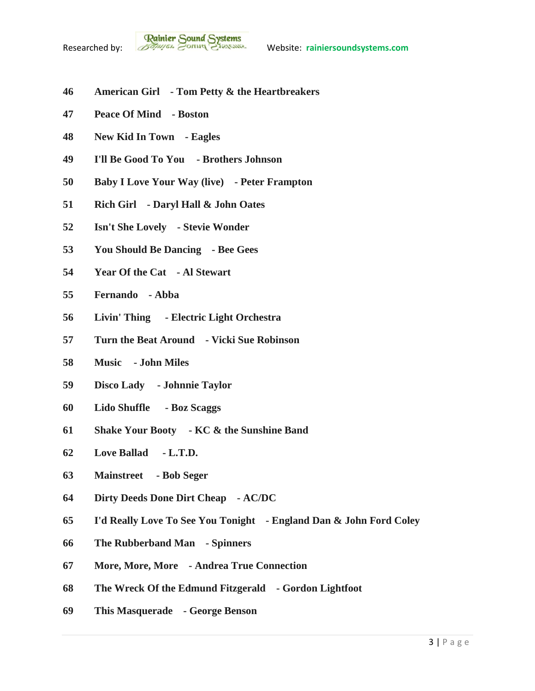- **American Girl - Tom Petty & the Heartbreakers**
- **Peace Of Mind - Boston**
- **New Kid In Town - Eagles**
- **I'll Be Good To You - Brothers Johnson**
- **Baby I Love Your Way (live) - Peter Frampton**
- **Rich Girl - Daryl Hall & John Oates**
- **Isn't She Lovely - Stevie Wonder**
- **You Should Be Dancing - Bee Gees**
- **Year Of the Cat - Al Stewart**
- **Fernando - Abba**
- **Livin' Thing - Electric Light Orchestra**
- **Turn the Beat Around - Vicki Sue Robinson**
- **Music - John Miles**
- **Disco Lady - Johnnie Taylor**
- **Lido Shuffle - Boz Scaggs**
- **Shake Your Booty - KC & the Sunshine Band**
- **Love Ballad - L.T.D.**
- **Mainstreet - Bob Seger**
- **Dirty Deeds Done Dirt Cheap - AC/DC**
- **I'd Really Love To See You Tonight - England Dan & John Ford Coley**
- **The Rubberband Man - Spinners**
- **More, More, More - Andrea True Connection**
- **The Wreck Of the Edmund Fitzgerald - Gordon Lightfoot**
- **This Masquerade - George Benson**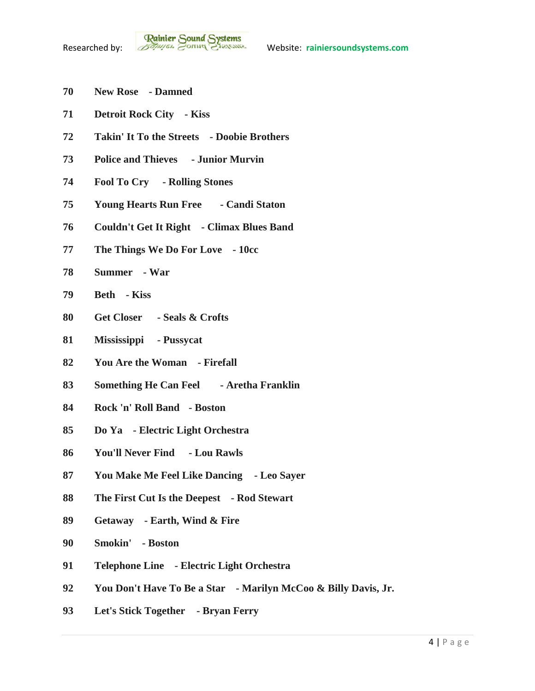- **New Rose - Damned**
- **Detroit Rock City - Kiss**
- **Takin' It To the Streets - Doobie Brothers**
- **Police and Thieves - Junior Murvin**
- **Fool To Cry - Rolling Stones**
- **Young Hearts Run Free - Candi Staton**
- **Couldn't Get It Right - Climax Blues Band**
- **The Things We Do For Love - 10cc**
- **Summer - War**
- **Beth - Kiss**
- **Get Closer - Seals & Crofts**
- **Mississippi - Pussycat**
- **You Are the Woman - Firefall**
- **Something He Can Feel - Aretha Franklin**
- **Rock 'n' Roll Band - Boston**
- **Do Ya - Electric Light Orchestra**
- **You'll Never Find - Lou Rawls**
- **You Make Me Feel Like Dancing - Leo Sayer**
- **The First Cut Is the Deepest - Rod Stewart**
- **Getaway - Earth, Wind & Fire**
- **Smokin' - Boston**
- **Telephone Line - Electric Light Orchestra**
- **You Don't Have To Be a Star - Marilyn McCoo & Billy Davis, Jr.**
- **Let's Stick Together - Bryan Ferry**